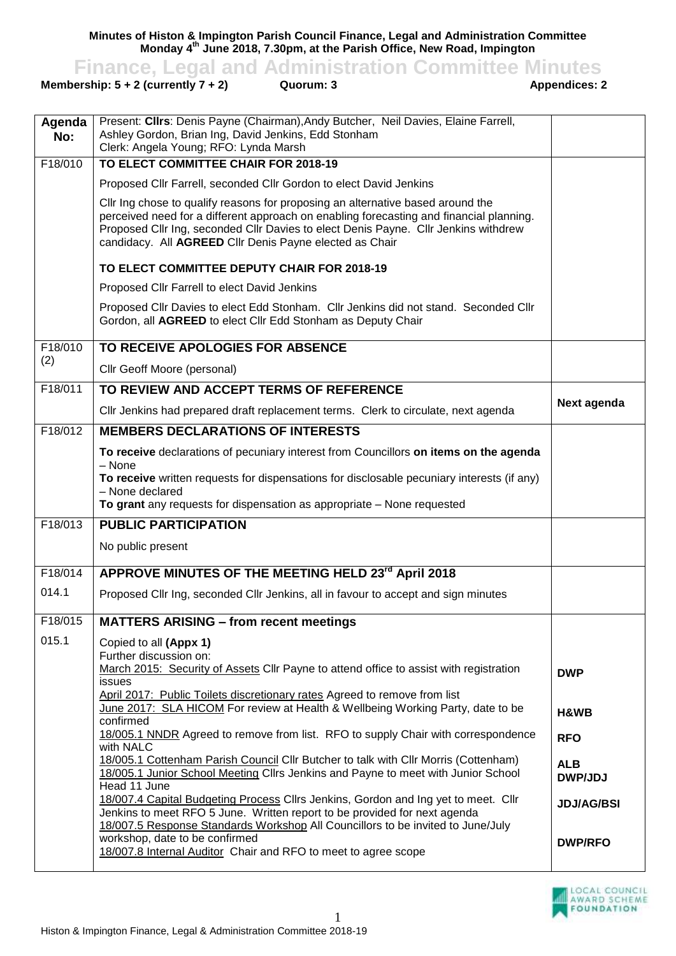**Minutes of Histon & Impington Parish Council Finance, Legal and Administration Committee Monday 4 th June 2018, 7.30pm, at the Parish Office, New Road, Impington**

**Finance, Legal and Administration Committee Minutes**<br>ership: 5 + 2 (currently 7 + 2) Quorum: 3 Appendices: 2

**Membership:**  $5 + 2$  **(currently**  $7 + 2$ **)** 

| Agenda<br>No: | Present: Clirs: Denis Payne (Chairman), Andy Butcher, Neil Davies, Elaine Farrell,<br>Ashley Gordon, Brian Ing, David Jenkins, Edd Stonham<br>Clerk: Angela Young; RFO: Lynda Marsh                                                                                                                                          |                              |
|---------------|------------------------------------------------------------------------------------------------------------------------------------------------------------------------------------------------------------------------------------------------------------------------------------------------------------------------------|------------------------------|
| F18/010       | TO ELECT COMMITTEE CHAIR FOR 2018-19                                                                                                                                                                                                                                                                                         |                              |
|               | Proposed Cllr Farrell, seconded Cllr Gordon to elect David Jenkins                                                                                                                                                                                                                                                           |                              |
|               | Cllr Ing chose to qualify reasons for proposing an alternative based around the<br>perceived need for a different approach on enabling forecasting and financial planning.<br>Proposed Cllr Ing, seconded Cllr Davies to elect Denis Payne. Cllr Jenkins withdrew<br>candidacy. All AGREED Cllr Denis Payne elected as Chair |                              |
|               | TO ELECT COMMITTEE DEPUTY CHAIR FOR 2018-19                                                                                                                                                                                                                                                                                  |                              |
|               | Proposed Cllr Farrell to elect David Jenkins                                                                                                                                                                                                                                                                                 |                              |
|               | Proposed Cllr Davies to elect Edd Stonham. Cllr Jenkins did not stand. Seconded Cllr<br>Gordon, all AGREED to elect Cllr Edd Stonham as Deputy Chair                                                                                                                                                                         |                              |
| F18/010       | TO RECEIVE APOLOGIES FOR ABSENCE                                                                                                                                                                                                                                                                                             |                              |
| (2)           | Cllr Geoff Moore (personal)                                                                                                                                                                                                                                                                                                  |                              |
| F18/011       | TO REVIEW AND ACCEPT TERMS OF REFERENCE                                                                                                                                                                                                                                                                                      |                              |
|               | Cllr Jenkins had prepared draft replacement terms. Clerk to circulate, next agenda                                                                                                                                                                                                                                           | Next agenda                  |
| F18/012       | <b>MEMBERS DECLARATIONS OF INTERESTS</b>                                                                                                                                                                                                                                                                                     |                              |
|               | To receive declarations of pecuniary interest from Councillors on items on the agenda<br>$-$ None<br>To receive written requests for dispensations for disclosable pecuniary interests (if any)<br>- None declared<br>To grant any requests for dispensation as appropriate - None requested                                 |                              |
| F18/013       | <b>PUBLIC PARTICIPATION</b>                                                                                                                                                                                                                                                                                                  |                              |
|               | No public present                                                                                                                                                                                                                                                                                                            |                              |
| F18/014       | APPROVE MINUTES OF THE MEETING HELD 23 <sup>rd</sup> April 2018                                                                                                                                                                                                                                                              |                              |
| 014.1         | Proposed Cllr Ing, seconded Cllr Jenkins, all in favour to accept and sign minutes                                                                                                                                                                                                                                           |                              |
| F18/015       | <b>MATTERS ARISING - from recent meetings</b>                                                                                                                                                                                                                                                                                |                              |
| 015.1         | Copied to all (Appx 1)<br>Further discussion on:<br>March 2015: Security of Assets Cllr Payne to attend office to assist with registration<br><b>issues</b>                                                                                                                                                                  | <b>DWP</b>                   |
|               | April 2017: Public Toilets discretionary rates Agreed to remove from list<br>June 2017: SLA HICOM For review at Health & Wellbeing Working Party, date to be<br>confirmed                                                                                                                                                    | H&WB                         |
|               | 18/005.1 NNDR Agreed to remove from list. RFO to supply Chair with correspondence<br>with NALC                                                                                                                                                                                                                               | <b>RFO</b>                   |
|               | 18/005.1 Cottenham Parish Council Cllr Butcher to talk with Cllr Morris (Cottenham)<br>18/005.1 Junior School Meeting Cllrs Jenkins and Payne to meet with Junior School<br>Head 11 June                                                                                                                                     | <b>ALB</b><br><b>DWP/JDJ</b> |
|               | 18/007.4 Capital Budgeting Process Cllrs Jenkins, Gordon and Ing yet to meet. Cllr<br>Jenkins to meet RFO 5 June. Written report to be provided for next agenda<br>18/007.5 Response Standards Workshop All Councillors to be invited to June/July                                                                           | <b>JDJ/AG/BSI</b>            |
|               | workshop, date to be confirmed<br>18/007.8 Internal Auditor Chair and RFO to meet to agree scope                                                                                                                                                                                                                             | <b>DWP/RFO</b>               |